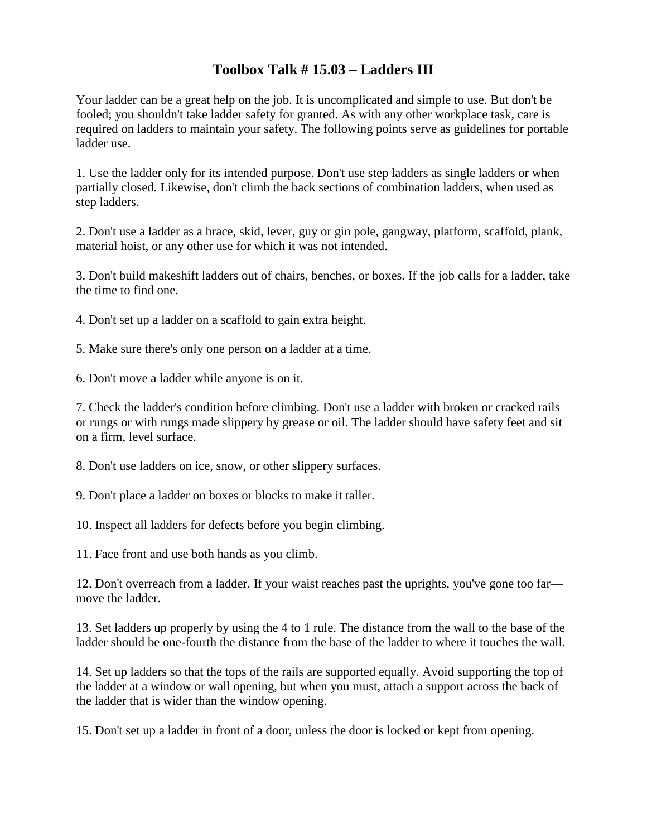## **Toolbox Talk # 15.03 – Ladders III**

Your ladder can be a great help on the job. It is uncomplicated and simple to use. But don't be fooled; you shouldn't take ladder safety for granted. As with any other workplace task, care is required on ladders to maintain your safety. The following points serve as guidelines for portable ladder use.

1. Use the ladder only for its intended purpose. Don't use step ladders as single ladders or when partially closed. Likewise, don't climb the back sections of combination ladders, when used as step ladders.

2. Don't use a ladder as a brace, skid, lever, guy or gin pole, gangway, platform, scaffold, plank, material hoist, or any other use for which it was not intended.

3. Don't build makeshift ladders out of chairs, benches, or boxes. If the job calls for a ladder, take the time to find one.

4. Don't set up a ladder on a scaffold to gain extra height.

5. Make sure there's only one person on a ladder at a time.

6. Don't move a ladder while anyone is on it.

7. Check the ladder's condition before climbing. Don't use a ladder with broken or cracked rails or rungs or with rungs made slippery by grease or oil. The ladder should have safety feet and sit on a firm, level surface.

8. Don't use ladders on ice, snow, or other slippery surfaces.

9. Don't place a ladder on boxes or blocks to make it taller.

10. Inspect all ladders for defects before you begin climbing.

11. Face front and use both hands as you climb.

12. Don't overreach from a ladder. If your waist reaches past the uprights, you've gone too far move the ladder.

13. Set ladders up properly by using the 4 to 1 rule. The distance from the wall to the base of the ladder should be one-fourth the distance from the base of the ladder to where it touches the wall.

14. Set up ladders so that the tops of the rails are supported equally. Avoid supporting the top of the ladder at a window or wall opening, but when you must, attach a support across the back of the ladder that is wider than the window opening.

15. Don't set up a ladder in front of a door, unless the door is locked or kept from opening.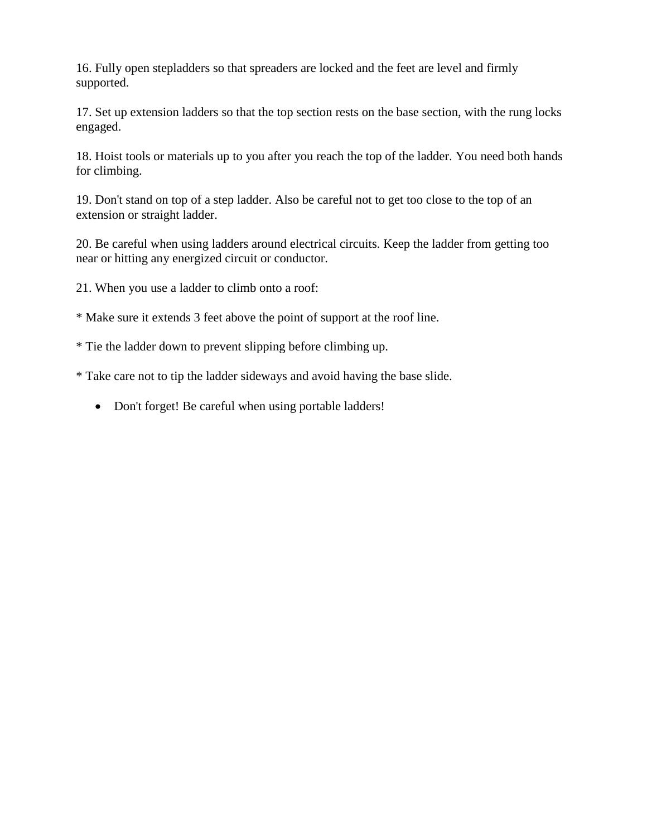16. Fully open stepladders so that spreaders are locked and the feet are level and firmly supported.

17. Set up extension ladders so that the top section rests on the base section, with the rung locks engaged.

18. Hoist tools or materials up to you after you reach the top of the ladder. You need both hands for climbing.

19. Don't stand on top of a step ladder. Also be careful not to get too close to the top of an extension or straight ladder.

20. Be careful when using ladders around electrical circuits. Keep the ladder from getting too near or hitting any energized circuit or conductor.

21. When you use a ladder to climb onto a roof:

\* Make sure it extends 3 feet above the point of support at the roof line.

\* Tie the ladder down to prevent slipping before climbing up.

\* Take care not to tip the ladder sideways and avoid having the base slide.

• Don't forget! Be careful when using portable ladders!